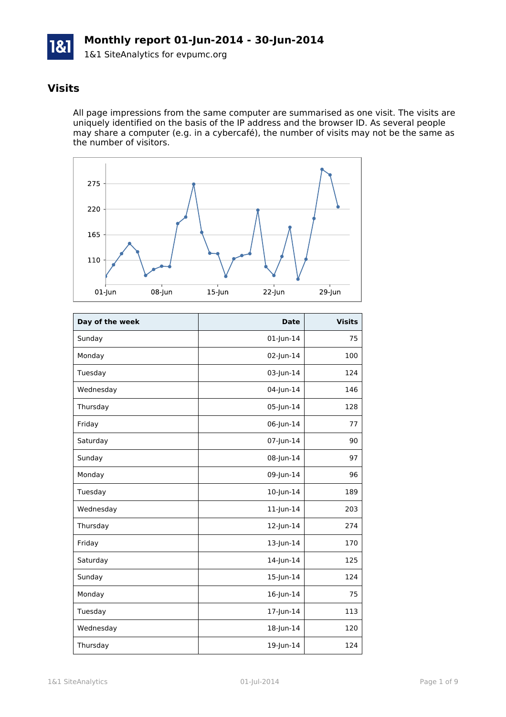

# **Visits**

All page impressions from the same computer are summarised as one visit. The visits are uniquely identified on the basis of the IP address and the browser ID. As several people may share a computer (e.g. in a cybercafé), the number of visits may not be the same as the number of visitors.



| Day of the week | <b>Date</b>     | <b>Visits</b> |
|-----------------|-----------------|---------------|
| Sunday          | $01$ -Jun-14    | 75            |
| Monday          | 02-Jun-14       | 100           |
| Tuesday         | 03-Jun-14       | 124           |
| Wednesday       | 04-Jun-14       | 146           |
| Thursday        | 05-Jun-14       | 128           |
| Friday          | 06-Jun-14       | 77            |
| Saturday        | 07-Jun-14       | 90            |
| Sunday          | 08-Jun-14       | 97            |
| Monday          | 09-Jun-14       | 96            |
| Tuesday         | 10-Jun-14       | 189           |
| Wednesday       | $11$ -Jun- $14$ | 203           |
| Thursday        | 12-Jun-14       | 274           |
| Friday          | 13-Jun-14       | 170           |
| Saturday        | 14-Jun-14       | 125           |
| Sunday          | 15-Jun-14       | 124           |
| Monday          | 16-Jun-14       | 75            |
| Tuesday         | 17-Jun-14       | 113           |
| Wednesday       | 18-Jun-14       | 120           |
| Thursday        | 19-Jun-14       | 124           |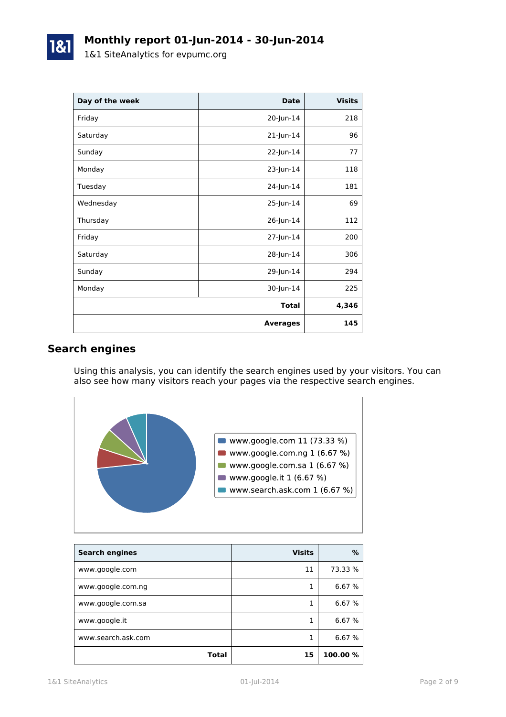| Day of the week | <b>Date</b>     | <b>Visits</b> |
|-----------------|-----------------|---------------|
| Friday          | 20-Jun-14       | 218           |
| Saturday        | 21-Jun-14       | 96            |
| Sunday          | 22-Jun-14       | 77            |
| Monday          | 23-Jun-14       | 118           |
| Tuesday         | 24-Jun-14       | 181           |
| Wednesday       | 25-Jun-14       | 69            |
| Thursday        | 26-Jun-14       | 112           |
| Friday          | 27-Jun-14       | 200           |
| Saturday        | 28-Jun-14       | 306           |
| Sunday          | 29-Jun-14       | 294           |
| Monday          | 30-Jun-14       | 225           |
|                 | <b>Total</b>    | 4,346         |
|                 | <b>Averages</b> | 145           |

# **Search engines**

Using this analysis, you can identify the search engines used by your visitors. You can also see how many visitors reach your pages via the respective search engines.



| <b>Search engines</b> | <b>Visits</b> | %        |
|-----------------------|---------------|----------|
| www.google.com        | 11            | 73.33 %  |
| www.google.com.ng     | 1             | 6.67 %   |
| www.google.com.sa     | 1             | 6.67 %   |
| www.google.it         |               | 6.67 %   |
| www.search.ask.com    |               | 6.67 %   |
| <b>Total</b>          | 15            | 100.00 % |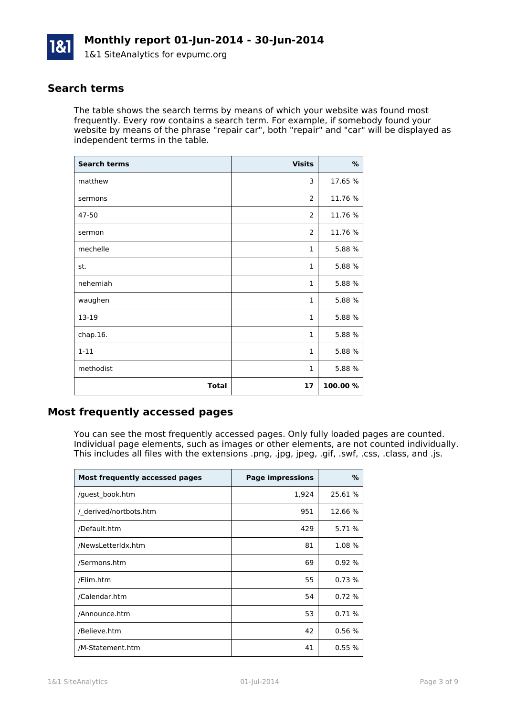

#### **Search terms**

The table shows the search terms by means of which your website was found most frequently. Every row contains a search term. For example, if somebody found your website by means of the phrase "repair car", both "repair" and "car" will be displayed as independent terms in the table.

| <b>Search terms</b> | <b>Visits</b>  | %       |
|---------------------|----------------|---------|
| matthew             | 3              | 17.65 % |
| sermons             | 2              | 11.76 % |
| 47-50               | 2              | 11.76 % |
| sermon              | $\overline{2}$ | 11.76 % |
| mechelle            | $\mathbf{1}$   | 5.88 %  |
| st.                 | $\mathbf{1}$   | 5.88 %  |
| nehemiah            | $\mathbf{1}$   | 5.88 %  |
| waughen             | $\mathbf{1}$   | 5.88 %  |
| 13-19               | $\mathbf{1}$   | 5.88 %  |
| chap.16.            | $\mathbf{1}$   | 5.88 %  |
| $1 - 11$            | $\mathbf{1}$   | 5.88 %  |
| methodist           | $\mathbf{1}$   | 5.88 %  |
| <b>Total</b>        | 17             | 100.00% |

#### **Most frequently accessed pages**

You can see the most frequently accessed pages. Only fully loaded pages are counted. Individual page elements, such as images or other elements, are not counted individually. This includes all files with the extensions .png, .jpg, jpeg, .gif, .swf, .css, .class, and .js.

| Most frequently accessed pages | <b>Page impressions</b> | %       |
|--------------------------------|-------------------------|---------|
| /guest book.htm                | 1,924                   | 25.61 % |
| / derived/nortbots.htm         | 951                     | 12.66 % |
| /Default.htm                   | 429                     | 5.71 %  |
| /NewsLetterIdx.htm             | 81                      | 1.08 %  |
| /Sermons.htm                   | 69                      | 0.92%   |
| /Elim.htm                      | 55                      | 0.73%   |
| /Calendar.htm                  | 54                      | 0.72%   |
| /Announce.htm                  | 53                      | 0.71%   |
| /Believe.htm                   | 42                      | 0.56%   |
| /M-Statement.htm               | 41                      | 0.55 %  |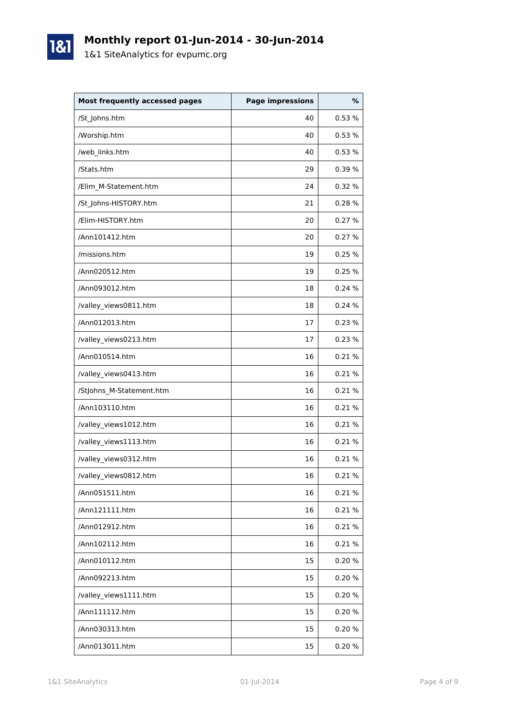

# **Monthly report 01-Jun-2014 - 30-Jun-2014**

1&1 SiteAnalytics for evpumc.org

| <b>Most frequently accessed pages</b> | <b>Page impressions</b> | %      |
|---------------------------------------|-------------------------|--------|
| /St Johns.htm                         | 40                      | 0.53%  |
| /Worship.htm                          | 40                      | 0.53%  |
| /web links.htm                        | 40                      | 0.53%  |
| /Stats.htm                            | 29                      | 0.39%  |
| /Elim M-Statement.htm                 | 24                      | 0.32%  |
| /St_Johns-HISTORY.htm                 | 21                      | 0.28%  |
| /Elim-HISTORY.htm                     | 20                      | 0.27%  |
| /Ann101412.htm                        | 20                      | 0.27%  |
| /missions.htm                         | 19                      | 0.25 % |
| /Ann020512.htm                        | 19                      | 0.25%  |
| /Ann093012.htm                        | 18                      | 0.24%  |
| /valley_views0811.htm                 | 18                      | 0.24%  |
| /Ann012013.htm                        | 17                      | 0.23%  |
| /valley_views0213.htm                 | 17                      | 0.23%  |
| /Ann010514.htm                        | 16                      | 0.21%  |
| /valley_views0413.htm                 | 16                      | 0.21%  |
| /StJohns_M-Statement.htm              | 16                      | 0.21 % |
| /Ann103110.htm                        | 16                      | 0.21 % |
| /valley_views1012.htm                 | 16                      | 0.21%  |
| /valley_views1113.htm                 | 16                      | 0.21 % |
| /valley_views0312.htm                 | 16                      | 0.21%  |
| /valley_views0812.htm                 | 16                      | 0.21%  |
| /Ann051511.htm                        | 16                      | 0.21%  |
| /Ann121111.htm                        | 16                      | 0.21%  |
| /Ann012912.htm                        | 16                      | 0.21%  |
| /Ann102112.htm                        | 16                      | 0.21 % |
| /Ann010112.htm                        | 15                      | 0.20%  |
| /Ann092213.htm                        | 15                      | 0.20%  |
| /valley_views1111.htm                 | 15                      | 0.20%  |
| /Ann111112.htm                        | 15                      | 0.20%  |
| /Ann030313.htm                        | 15                      | 0.20%  |
| /Ann013011.htm                        | 15                      | 0.20%  |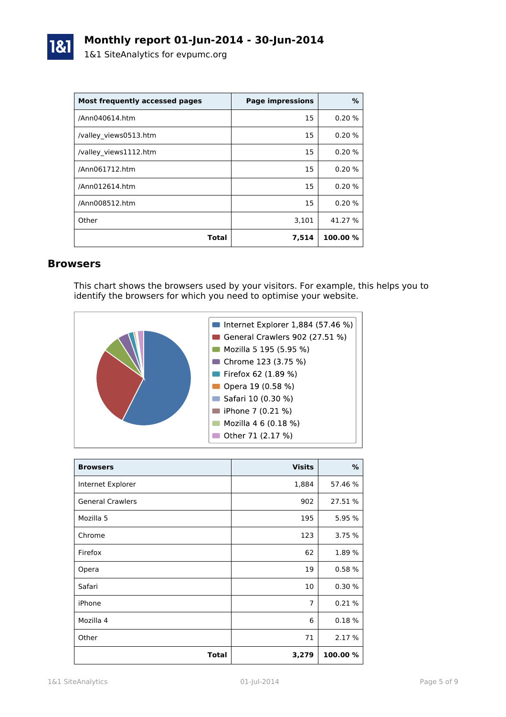

| Most frequently accessed pages | <b>Page impressions</b> | %        |
|--------------------------------|-------------------------|----------|
| /Ann040614.htm                 | 15                      | 0.20%    |
| /valley views0513.htm          | 15                      | 0.20%    |
| /valley views1112.htm          | 15                      | 0.20%    |
| /Ann061712.htm                 | 15                      | 0.20%    |
| /Ann012614.htm                 | 15                      | 0.20%    |
| /Ann008512.htm                 | 15                      | 0.20%    |
| Other                          | 3,101                   | 41.27 %  |
| Total                          | 7,514                   | 100.00 % |

#### **Browsers**

This chart shows the browsers used by your visitors. For example, this helps you to identify the browsers for which you need to optimise your website.



| <b>Browsers</b>         | <b>Visits</b>  | %        |
|-------------------------|----------------|----------|
| Internet Explorer       | 1,884          | 57.46 %  |
| <b>General Crawlers</b> | 902            | 27.51 %  |
| Mozilla 5               | 195            | 5.95 %   |
| Chrome                  | 123            | 3.75 %   |
| Firefox                 | 62             | 1.89%    |
| Opera                   | 19             | 0.58%    |
| Safari                  | 10             | 0.30%    |
| iPhone                  | $\overline{7}$ | 0.21%    |
| Mozilla 4               | 6              | 0.18%    |
| Other                   | 71             | 2.17 %   |
| <b>Total</b>            | 3,279          | 100.00 % |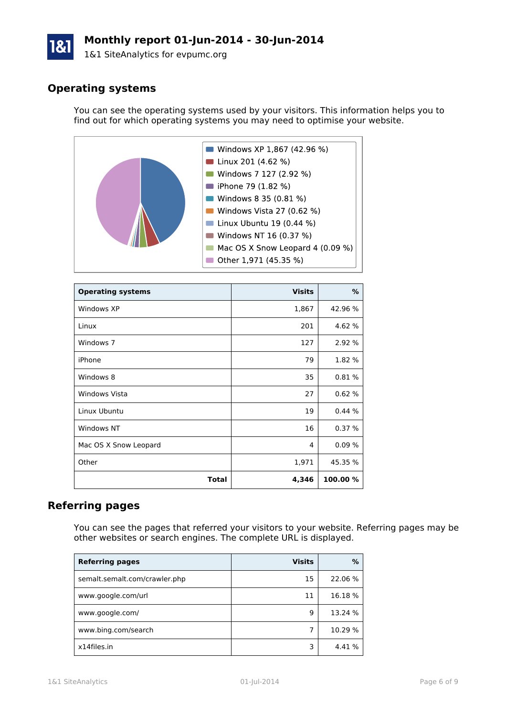# **Monthly report 01-Jun-2014 - 30-Jun-2014**

1&1 SiteAnalytics for evpumc.org

# **Operating systems**

You can see the operating systems used by your visitors. This information helps you to find out for which operating systems you may need to optimise your website.



| <b>Operating systems</b> | <b>Visits</b> | %        |
|--------------------------|---------------|----------|
| Windows XP               | 1,867         | 42.96 %  |
| Linux                    | 201           | 4.62 %   |
| Windows 7                | 127           | 2.92 %   |
| iPhone                   | 79            | 1.82 %   |
| Windows 8                | 35            | 0.81%    |
| <b>Windows Vista</b>     | 27            | 0.62%    |
| Linux Ubuntu             | 19            | 0.44%    |
| Windows NT               | 16            | 0.37%    |
| Mac OS X Snow Leopard    | 4             | 0.09%    |
| Other                    | 1,971         | 45.35 %  |
| <b>Total</b>             | 4,346         | 100.00 % |

# **Referring pages**

You can see the pages that referred your visitors to your website. Referring pages may be other websites or search engines. The complete URL is displayed.

| <b>Referring pages</b>        | <b>Visits</b> | %       |
|-------------------------------|---------------|---------|
| semalt.semalt.com/crawler.php | 15            | 22.06 % |
| www.google.com/url            | 11            | 16.18%  |
| www.google.com/               | q             | 13.24 % |
| www.bing.com/search           |               | 10.29 % |
| x14files.in                   | 3             | 4.41 %  |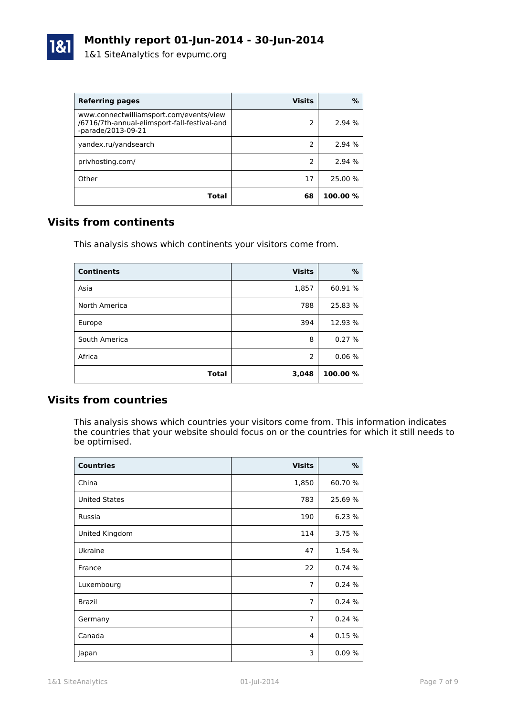

| <b>Referring pages</b>                                                                                        | <b>Visits</b> | $\%$     |
|---------------------------------------------------------------------------------------------------------------|---------------|----------|
| www.connectwilliamsport.com/events/view<br>/6716/7th-annual-elimsport-fall-festival-and<br>-parade/2013-09-21 | 2             | 2.94 %   |
| yandex.ru/yandsearch                                                                                          | 2             | 2.94 %   |
| privhosting.com/                                                                                              | 2             | 2.94 %   |
| Other                                                                                                         | 17            | 25.00 %  |
| Total                                                                                                         | 68            | 100.00 % |

# **Visits from continents**

This analysis shows which continents your visitors come from.

| <b>Continents</b> | <b>Visits</b> | %        |
|-------------------|---------------|----------|
| Asia              | 1,857         | 60.91 %  |
| North America     | 788           | 25.83 %  |
| Europe            | 394           | 12.93 %  |
| South America     | 8             | 0.27%    |
| Africa            | 2             | 0.06%    |
| Total             | 3,048         | 100.00 % |

# **Visits from countries**

This analysis shows which countries your visitors come from. This information indicates the countries that your website should focus on or the countries for which it still needs to be optimised.

| <b>Countries</b>     | <b>Visits</b>  | %       |
|----------------------|----------------|---------|
| China                | 1,850          | 60.70%  |
| <b>United States</b> | 783            | 25.69 % |
| Russia               | 190            | 6.23 %  |
| United Kingdom       | 114            | 3.75 %  |
| Ukraine              | 47             | 1.54 %  |
| France               | 22             | 0.74%   |
| Luxembourg           | 7              | 0.24%   |
| Brazil               | $\overline{7}$ | 0.24%   |
| Germany              | 7              | 0.24%   |
| Canada               | 4              | 0.15%   |
| Japan                | 3              | 0.09%   |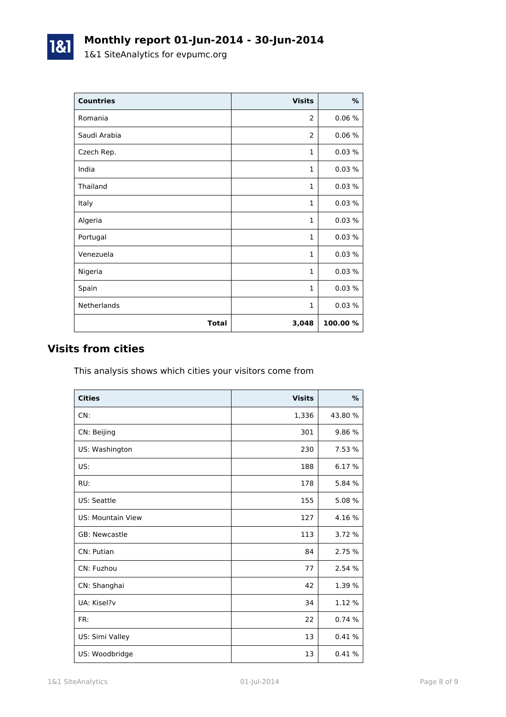# **Monthly report 01-Jun-2014 - 30-Jun-2014**

1&1 SiteAnalytics for evpumc.org

| <b>Countries</b> | <b>Visits</b>  | $\%$     |
|------------------|----------------|----------|
| Romania          | $\overline{2}$ | 0.06%    |
| Saudi Arabia     | 2              | 0.06%    |
| Czech Rep.       | 1              | 0.03%    |
| India            | 1              | 0.03%    |
| Thailand         | $\mathbf{1}$   | 0.03%    |
| Italy            | 1              | 0.03%    |
| Algeria          | 1              | 0.03%    |
| Portugal         | $\mathbf{1}$   | 0.03%    |
| Venezuela        | $\mathbf{1}$   | 0.03%    |
| Nigeria          | 1              | 0.03%    |
| Spain            | $\mathbf{1}$   | 0.03%    |
| Netherlands      | $\mathbf{1}$   | 0.03%    |
| Total            | 3,048          | 100.00 % |

# **Visits from cities**

1&1

This analysis shows which cities your visitors come from

| <b>Cities</b>            | <b>Visits</b> | $\frac{9}{6}$ |
|--------------------------|---------------|---------------|
| CN:                      | 1,336         | 43.80 %       |
| CN: Beijing              | 301           | 9.86 %        |
| US: Washington           | 230           | 7.53 %        |
| US:                      | 188           | 6.17 %        |
| RU:                      | 178           | 5.84 %        |
| US: Seattle              | 155           | 5.08 %        |
| <b>US: Mountain View</b> | 127           | 4.16 %        |
| GB: Newcastle            | 113           | 3.72 %        |
| CN: Putian               | 84            | 2.75 %        |
| CN: Fuzhou               | 77            | 2.54 %        |
| CN: Shanghai             | 42            | 1.39 %        |
| UA: Kisel?v              | 34            | 1.12 %        |
| FR:                      | 22            | 0.74%         |
| US: Simi Valley          | 13            | 0.41%         |
| US: Woodbridge           | 13            | 0.41%         |